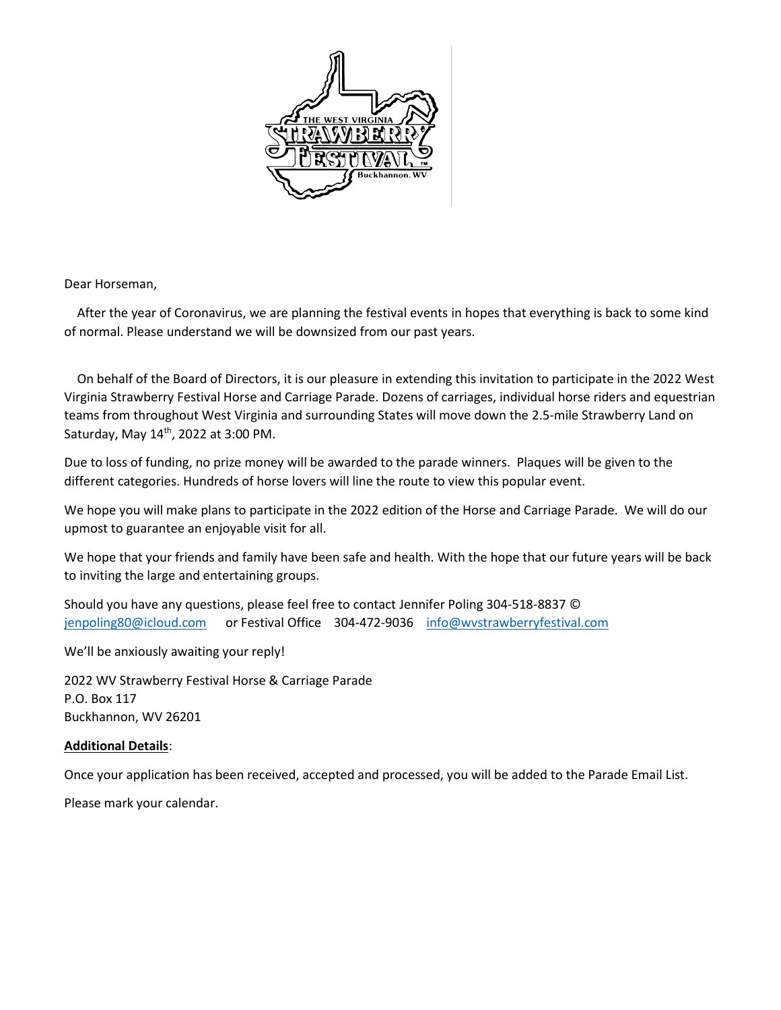

Dear Horseman,

 After the year of Coronavirus, we are planning the festival events in hopes that everything is back to some kind of normal. Please understand we will be downsized from our past years.

 On behalf of the Board of Directors, it is our pleasure in extending this invitation to participate in the 2022 West Virginia Strawberry Festival Horse and Carriage Parade. Dozens of carriages, individual horse riders and equestrian teams from throughout West Virginia and surrounding States will move down the 2.5-mile Strawberry Land on Saturday, May 14<sup>th</sup>, 2022 at 3:00 PM.

Due to loss of funding, no prize money will be awarded to the parade winners. Plaques will be given to the different categories. Hundreds of horse lovers will line the route to view this popular event.

We hope you will make plans to participate in the 2022 edition of the Horse and Carriage Parade. We will do our upmost to guarantee an enjoyable visit for all.

We hope that your friends and family have been safe and health. With the hope that our future years will be back to inviting the large and entertaining groups.

Should you have any questions, please feel free to contact Jennifer Poling 304-518-8837 © [jenpoling80@icloud.com](mailto:jenpoling80@icloud.com) or Festival Office 304-472-9036 [info@wvstrawberryfestival.com](mailto:info@wvstrawberryfestival.com) 

We'll be anxiously awaiting your reply!

2022 WV Strawberry Festival Horse & Carriage Parade P.O. Box 117 Buckhannon, WV 26201

### **Additional Details**:

Once your application has been received, accepted and processed, you will be added to the Parade Email List.

Please mark your calendar.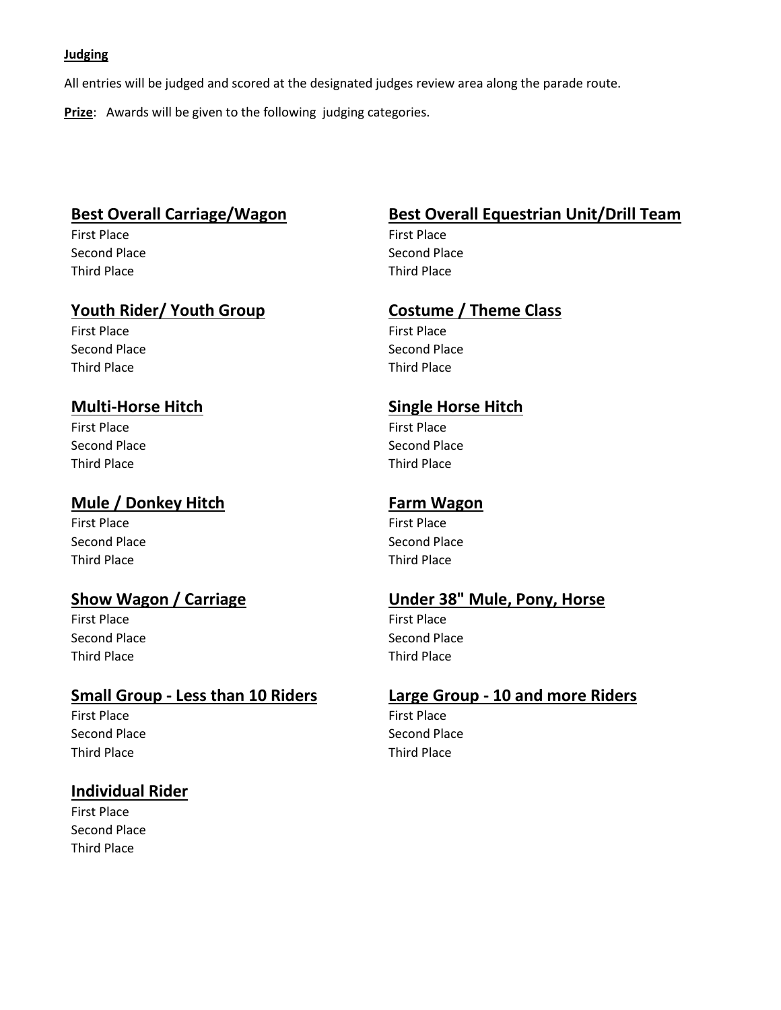### **Judging**

All entries will be judged and scored at the designated judges review area along the parade route.

**Prize**: Awards will be given to the following judging categories.

First Place First Place Third Place Third Place

## **Youth Rider/ Youth Group Costume / Theme Class**

First Place First Place Second Place Second Place Third Place **Third Place** Third Place

## **Multi-Horse Hitch Single Horse Hitch**

First Place **First Place** Second Place Second Place Third Place Third Place

# **Mule / Donkey Hitch <b>Farm Wagon**

First Place **First Place** Second Place Second Place Third Place Third Place

First Place First Place Second Place Second Place Third Place Third Place

First Place First Place Second Place Second Place Third Place Third Place

# **Individual Rider**

First Place Second Place Third Place

# **Best Overall Carriage/Wagon Best Overall Equestrian Unit/Drill Team**

Second Place Second Place

# **Show Wagon / Carriage Under 38" Mule, Pony, Horse**

# **Small Group - Less than 10 Riders Large Group - 10 and more Riders**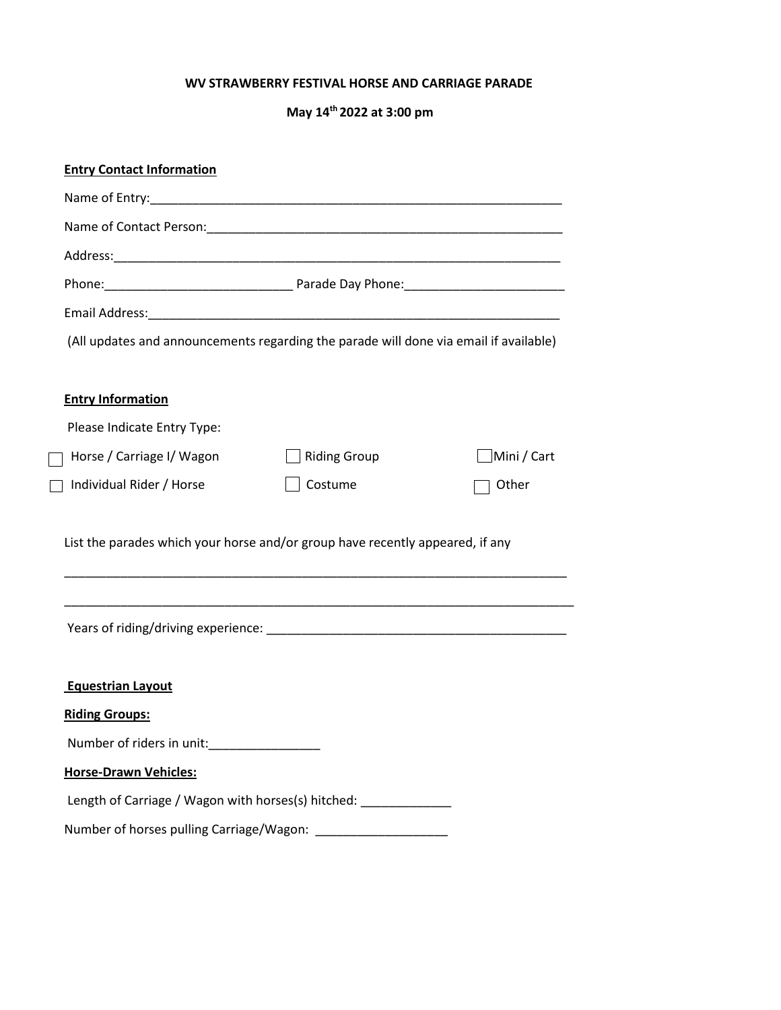### **WV STRAWBERRY FESTIVAL HORSE AND CARRIAGE PARADE**

 **May 14th 2022 at 3:00 pm**

| <b>Entry Contact Information</b>                                                      |                     |             |
|---------------------------------------------------------------------------------------|---------------------|-------------|
|                                                                                       |                     |             |
|                                                                                       |                     |             |
|                                                                                       |                     |             |
|                                                                                       |                     |             |
|                                                                                       |                     |             |
| (All updates and announcements regarding the parade will done via email if available) |                     |             |
|                                                                                       |                     |             |
| <b>Entry Information</b>                                                              |                     |             |
| Please Indicate Entry Type:                                                           |                     |             |
| Horse / Carriage I/ Wagon                                                             | <b>Riding Group</b> | Mini / Cart |
| Individual Rider / Horse                                                              | Costume             | Other       |
|                                                                                       |                     |             |
| List the parades which your horse and/or group have recently appeared, if any         |                     |             |
|                                                                                       |                     |             |
|                                                                                       |                     |             |
|                                                                                       |                     |             |
|                                                                                       |                     |             |
| <b>Equestrian Layout</b>                                                              |                     |             |
| <b>Riding Groups:</b>                                                                 |                     |             |
|                                                                                       |                     |             |
| <b>Horse-Drawn Vehicles:</b>                                                          |                     |             |
| Length of Carriage / Wagon with horses(s) hitched: _____________                      |                     |             |
|                                                                                       |                     |             |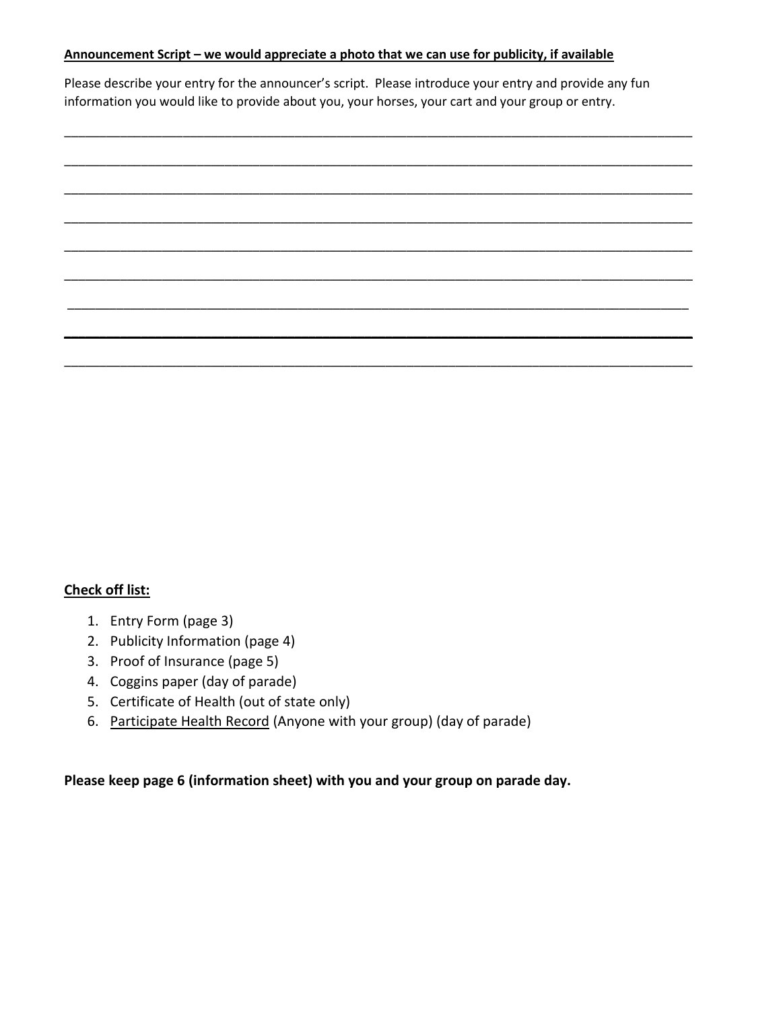### **Announcement Script – we would appreciate a photo that we can use for publicity, if available**

Please describe your entry for the announcer's script. Please introduce your entry and provide any fun information you would like to provide about you, your horses, your cart and your group or entry.

### **Check off list:**

- 1. Entry Form (page 3)
- 2. Publicity Information (page 4)
- 3. Proof of Insurance (page 5)
- 4. Coggins paper (day of parade)
- 5. Certificate of Health (out of state only)
- 6. Participate Health Record (Anyone with your group) (day of parade)

**Please keep page 6 (information sheet) with you and your group on parade day.**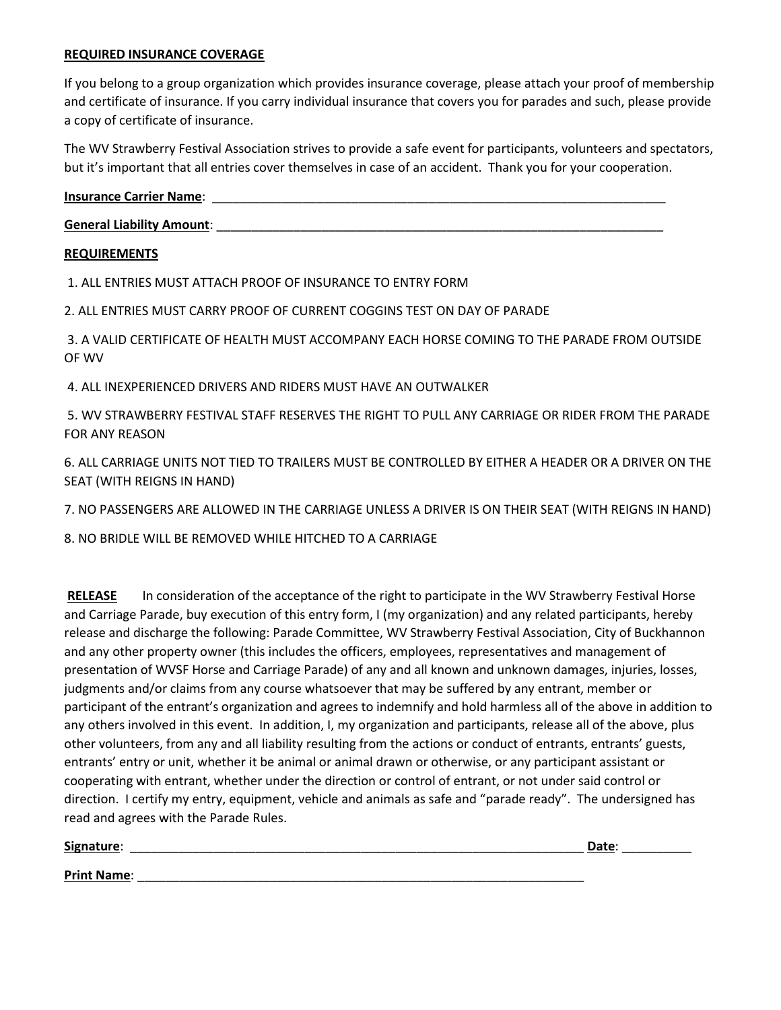### **REQUIRED INSURANCE COVERAGE**

If you belong to a group organization which provides insurance coverage, please attach your proof of membership and certificate of insurance. If you carry individual insurance that covers you for parades and such, please provide a copy of certificate of insurance.

The WV Strawberry Festival Association strives to provide a safe event for participants, volunteers and spectators, but it's important that all entries cover themselves in case of an accident. Thank you for your cooperation.

#### **Insurance Carrier Name**: \_\_\_\_\_\_\_\_\_\_\_\_\_\_\_\_\_\_\_\_\_\_\_\_\_\_\_\_\_\_\_\_\_\_\_\_\_\_\_\_\_\_\_\_\_\_\_\_\_\_\_\_\_\_\_\_\_\_\_\_\_\_\_\_\_

#### **General Liability Amount**: \_\_\_\_\_\_\_\_\_\_\_\_\_\_\_\_\_\_\_\_\_\_\_\_\_\_\_\_\_\_\_\_\_\_\_\_\_\_\_\_\_\_\_\_\_\_\_\_\_\_\_\_\_\_\_\_\_\_\_\_\_\_\_\_

### **REQUIREMENTS**

1. ALL ENTRIES MUST ATTACH PROOF OF INSURANCE TO ENTRY FORM

2. ALL ENTRIES MUST CARRY PROOF OF CURRENT COGGINS TEST ON DAY OF PARADE

3. A VALID CERTIFICATE OF HEALTH MUST ACCOMPANY EACH HORSE COMING TO THE PARADE FROM OUTSIDE OF WV

4. ALL INEXPERIENCED DRIVERS AND RIDERS MUST HAVE AN OUTWALKER

5. WV STRAWBERRY FESTIVAL STAFF RESERVES THE RIGHT TO PULL ANY CARRIAGE OR RIDER FROM THE PARADE FOR ANY REASON

6. ALL CARRIAGE UNITS NOT TIED TO TRAILERS MUST BE CONTROLLED BY EITHER A HEADER OR A DRIVER ON THE SEAT (WITH REIGNS IN HAND)

7. NO PASSENGERS ARE ALLOWED IN THE CARRIAGE UNLESS A DRIVER IS ON THEIR SEAT (WITH REIGNS IN HAND)

8. NO BRIDLE WILL BE REMOVED WHILE HITCHED TO A CARRIAGE

**RELEASE** In consideration of the acceptance of the right to participate in the WV Strawberry Festival Horse and Carriage Parade, buy execution of this entry form, I (my organization) and any related participants, hereby release and discharge the following: Parade Committee, WV Strawberry Festival Association, City of Buckhannon and any other property owner (this includes the officers, employees, representatives and management of presentation of WVSF Horse and Carriage Parade) of any and all known and unknown damages, injuries, losses, judgments and/or claims from any course whatsoever that may be suffered by any entrant, member or participant of the entrant's organization and agrees to indemnify and hold harmless all of the above in addition to any others involved in this event. In addition, I, my organization and participants, release all of the above, plus other volunteers, from any and all liability resulting from the actions or conduct of entrants, entrants' guests, entrants' entry or unit, whether it be animal or animal drawn or otherwise, or any participant assistant or cooperating with entrant, whether under the direction or control of entrant, or not under said control or direction. I certify my entry, equipment, vehicle and animals as safe and "parade ready". The undersigned has read and agrees with the Parade Rules.

**Signature**: \_\_\_\_\_\_\_\_\_\_\_\_\_\_\_\_\_\_\_\_\_\_\_\_\_\_\_\_\_\_\_\_\_\_\_\_\_\_\_\_\_\_\_\_\_\_\_\_\_\_\_\_\_\_\_\_\_\_\_\_\_\_\_\_\_ **Date**: \_\_\_\_\_\_\_\_\_\_ **Print Name**: \_\_\_\_\_\_\_\_\_\_\_\_\_\_\_\_\_\_\_\_\_\_\_\_\_\_\_\_\_\_\_\_\_\_\_\_\_\_\_\_\_\_\_\_\_\_\_\_\_\_\_\_\_\_\_\_\_\_\_\_\_\_\_\_